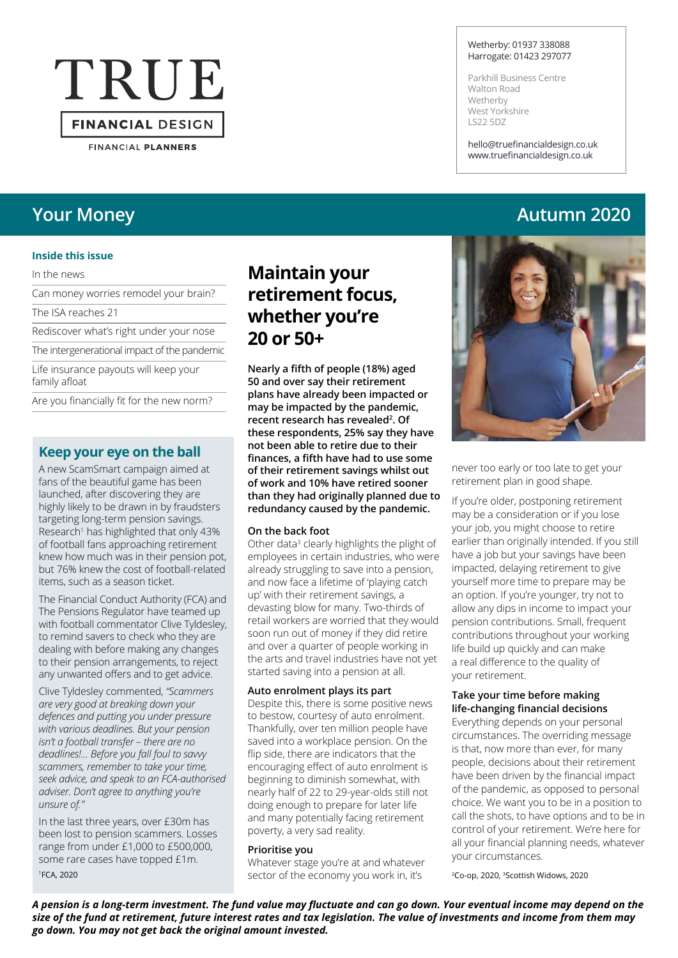# TRUE **FINANCIAL DESIGN**

**FINANCIAL PLANNERS** 

#### **Inside this issue**

In the news

Can money worries remodel your brain?

The ISA reaches 21

Rediscover what's right under your nose

The intergenerational impact of the pandemic

Life insurance payouts will keep your family afloat

Are you financially fit for the new norm?

#### **Keep your eye on the ball**

A new ScamSmart campaign aimed at fans of the beautiful game has been launched, after discovering they are highly likely to be drawn in by fraudsters targeting long-term pension savings. Research1 has highlighted that only 43% of football fans approaching retirement knew how much was in their pension pot, but 76% knew the cost of football-related items, such as a season ticket.

The Financial Conduct Authority (FCA) and The Pensions Regulator have teamed up with football commentator Clive Tyldesley, to remind savers to check who they are dealing with before making any changes to their pension arrangements, to reject any unwanted offers and to get advice.

Clive Tyldesley commented, *"Scammers are very good at breaking down your defences and putting you under pressure with various deadlines. But your pension isn't a football transfer – there are no deadlines!... Before you fall foul to savvy scammers, remember to take your time, seek advice, and speak to an FCA-authorised adviser. Don't agree to anything you're unsure of."*

In the last three years, over £30m has been lost to pension scammers. Losses range from under £1,000 to £500,000, some rare cases have topped £1m. 1FCA, 2020

### **Maintain your retirement focus, whether you're 20 or 50+**

**Nearly a fifth of people (18%) aged 50 and over say their retirement plans have already been impacted or may be impacted by the pandemic, recent research has revealed<sup>2</sup> . Of these respondents, 25% say they have not been able to retire due to their finances, a fifth have had to use some of their retirement savings whilst out of work and 10% have retired sooner than they had originally planned due to redundancy caused by the pandemic.**

#### **On the back foot**

Other data<sup>3</sup> clearly highlights the plight of employees in certain industries, who were already struggling to save into a pension, and now face a lifetime of 'playing catch up' with their retirement savings, a devasting blow for many. Two-thirds of retail workers are worried that they would soon run out of money if they did retire and over a quarter of people working in the arts and travel industries have not yet started saving into a pension at all.

#### **Auto enrolment plays its part**

Despite this, there is some positive news to bestow, courtesy of auto enrolment. Thankfully, over ten million people have saved into a workplace pension. On the flip side, there are indicators that the encouraging effect of auto enrolment is beginning to diminish somewhat, with nearly half of 22 to 29-year-olds still not doing enough to prepare for later life and many potentially facing retirement poverty, a very sad reality.

#### **Prioritise you**

Whatever stage you're at and whatever sector of the economy you work in, it's

#### Wetherby: 01937 338088 Harrogate: 01423 297077

Parkhill Business Centre Walton Road **Wetherby** West Yorkshire LS22 5DZ

hello@truefinancialdesign.co.uk www.truefinancialdesign.co.uk

### **Your Money Autumn 2020**



never too early or too late to get your retirement plan in good shape.

If you're older, postponing retirement may be a consideration or if you lose your job, you might choose to retire earlier than originally intended. If you still have a job but your savings have been impacted, delaying retirement to give yourself more time to prepare may be an option. If you're younger, try not to allow any dips in income to impact your pension contributions. Small, frequent contributions throughout your working life build up quickly and can make a real difference to the quality of your retirement.

#### **Take your time before making life-changing financial decisions**

Everything depends on your personal circumstances. The overriding message is that, now more than ever, for many people, decisions about their retirement have been driven by the financial impact of the pandemic, as opposed to personal choice. We want you to be in a position to call the shots, to have options and to be in control of your retirement. We're here for all your financial planning needs, whatever your circumstances.

2Co-op, 2020, 3Scottish Widows, 2020

*A pension is a long-term investment. The fund value may fluctuate and can go down. Your eventual income may depend on the size of the fund at retirement, future interest rates and tax legislation. The value of investments and income from them may go down. You may not get back the original amount invested.*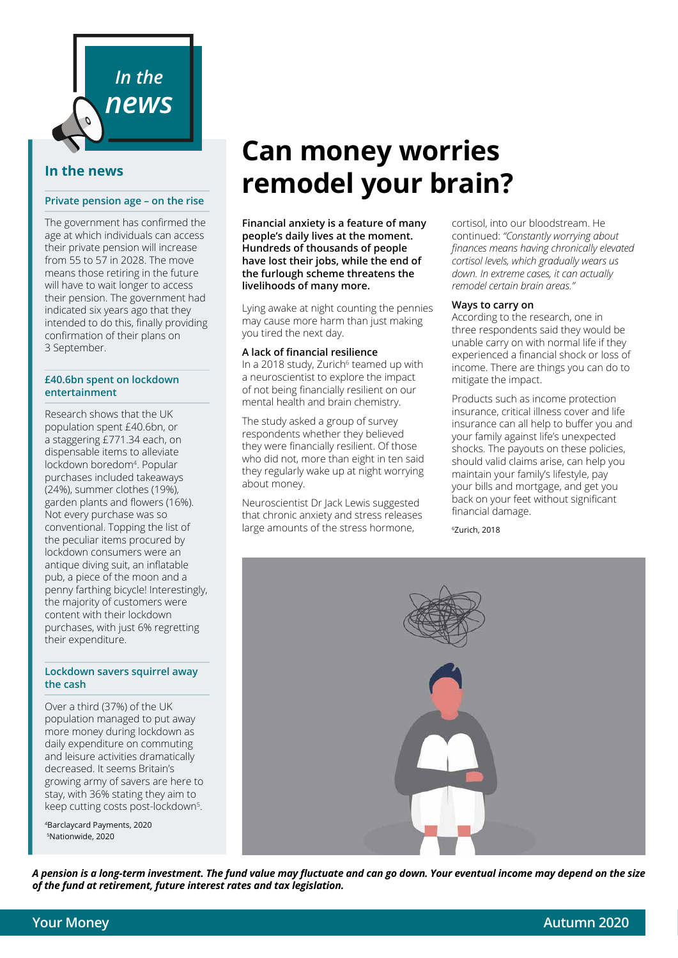

#### **In the news**

#### **Private pension age – on the rise**

The government has confirmed the age at which individuals can access their private pension will increase from 55 to 57 in 2028. The move means those retiring in the future will have to wait longer to access their pension. The government had indicated six years ago that they intended to do this, finally providing confirmation of their plans on 3 September.

#### **£40.6bn spent on lockdown entertainment**

Research shows that the UK population spent £40.6bn, or a staggering £771.34 each, on dispensable items to alleviate lockdown boredom4 . Popular purchases included takeaways (24%), summer clothes (19%), garden plants and flowers (16%). Not every purchase was so conventional. Topping the list of the peculiar items procured by lockdown consumers were an antique diving suit, an inflatable pub, a piece of the moon and a penny farthing bicycle! Interestingly, the majority of customers were content with their lockdown purchases, with just 6% regretting their expenditure.

#### **Lockdown savers squirrel away the cash**

Over a third (37%) of the UK population managed to put away more money during lockdown as daily expenditure on commuting and leisure activities dramatically decreased. It seems Britain's growing army of savers are here to stay, with 36% stating they aim to keep cutting costs post-lockdown<sup>5</sup>.

4Barclaycard Payments, 2020 5Nationwide, 2020

## **Can money worries remodel your brain?**

**Financial anxiety is a feature of many people's daily lives at the moment. Hundreds of thousands of people have lost their jobs, while the end of the furlough scheme threatens the livelihoods of many more.**

Lying awake at night counting the pennies may cause more harm than just making you tired the next day.

#### **A lack of financial resilience**

In a 2018 study, Zurich $6$  teamed up with a neuroscientist to explore the impact of not being financially resilient on our mental health and brain chemistry.

The study asked a group of survey respondents whether they believed they were financially resilient. Of those who did not, more than eight in ten said they regularly wake up at night worrying about money.

Neuroscientist Dr Jack Lewis suggested that chronic anxiety and stress releases large amounts of the stress hormone,

cortisol, into our bloodstream. He continued: *"Constantly worrying about finances means having chronically elevated cortisol levels, which gradually wears us down. In extreme cases, it can actually remodel certain brain areas."*

#### **Ways to carry on**

According to the research, one in three respondents said they would be unable carry on with normal life if they experienced a financial shock or loss of income. There are things you can do to mitigate the impact.

Products such as income protection insurance, critical illness cover and life insurance can all help to buffer you and your family against life's unexpected shocks. The payouts on these policies, should valid claims arise, can help you maintain your family's lifestyle, pay your bills and mortgage, and get you back on your feet without significant financial damage.

6Zurich, 2018



*A pension is a long-term investment. The fund value may fluctuate and can go down. Your eventual income may depend on the size of the fund at retirement, future interest rates and tax legislation.*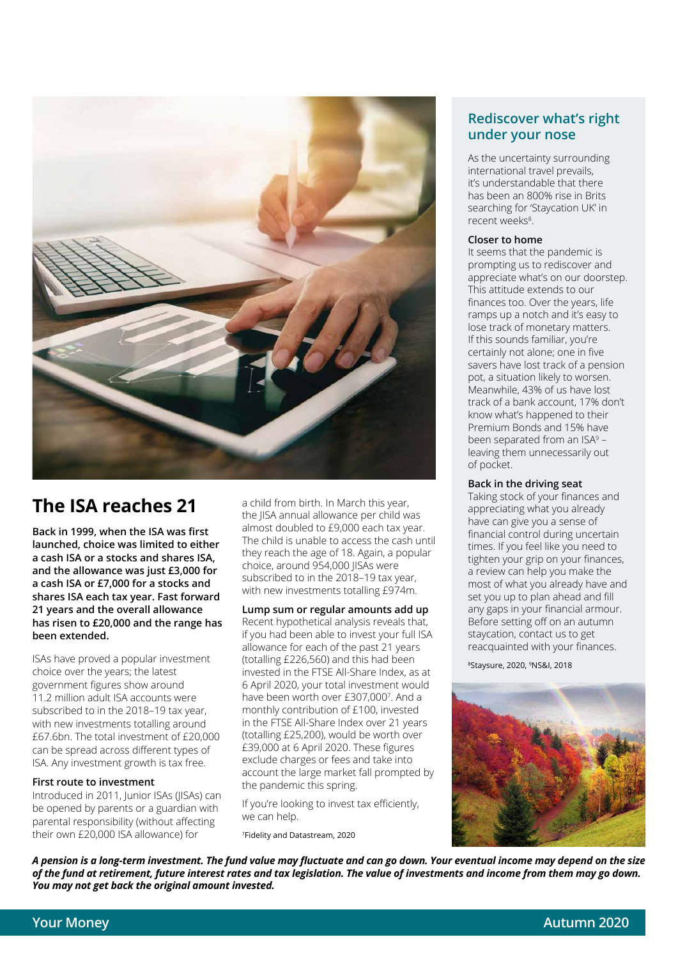

### **The ISA reaches 21**

**Back in 1999, when the ISA was first launched, choice was limited to either a cash ISA or a stocks and shares ISA, and the allowance was just £3,000 for a cash ISA or £7,000 for a stocks and shares ISA each tax year. Fast forward 21 years and the overall allowance has risen to £20,000 and the range has been extended.** 

ISAs have proved a popular investment choice over the years; the latest government figures show around 11.2 million adult ISA accounts were subscribed to in the 2018–19 tax year, with new investments totalling around £67.6bn. The total investment of £20,000 can be spread across different types of ISA. Any investment growth is tax free.

#### **First route to investment**

Introduced in 2011, Junior ISAs (JISAs) can be opened by parents or a guardian with parental responsibility (without affecting their own £20,000 ISA allowance) for

a child from birth. In March this year, the JISA annual allowance per child was almost doubled to £9,000 each tax year. The child is unable to access the cash until they reach the age of 18. Again, a popular choice, around 954,000 JISAs were subscribed to in the 2018–19 tax year, with new investments totalling £974m.

**Lump sum or regular amounts add up** Recent hypothetical analysis reveals that, if you had been able to invest your full ISA allowance for each of the past 21 years (totalling £226,560) and this had been invested in the FTSE All-Share Index, as at 6 April 2020, your total investment would have been worth over £307,000<sup>7</sup>. And a monthly contribution of £100, invested in the FTSE All-Share Index over 21 years (totalling £25,200), would be worth over £39,000 at 6 April 2020. These figures exclude charges or fees and take into account the large market fall prompted by the pandemic this spring.

If you're looking to invest tax efficiently, we can help.

7Fidelity and Datastream, 2020

#### **Rediscover what's right under your nose**

As the uncertainty surrounding international travel prevails, it's understandable that there has been an 800% rise in Brits searching for 'Staycation UK' in recent weeks<sup>8</sup>.

#### **Closer to home**

It seems that the pandemic is prompting us to rediscover and appreciate what's on our doorstep. This attitude extends to our finances too. Over the years, life ramps up a notch and it's easy to lose track of monetary matters. If this sounds familiar, you're certainly not alone; one in five savers have lost track of a pension pot, a situation likely to worsen. Meanwhile, 43% of us have lost track of a bank account, 17% don't know what's happened to their Premium Bonds and 15% have been separated from an ISA<sup>9</sup> – leaving them unnecessarily out of pocket.

#### **Back in the driving seat**

Taking stock of your finances and appreciating what you already have can give you a sense of financial control during uncertain times. If you feel like you need to tighten your grip on your finances, a review can help you make the most of what you already have and set you up to plan ahead and fill any gaps in your financial armour. Before setting off on an autumn staycation, contact us to get reacquainted with your finances.

8Staysure, 2020, 9NS&I, 2018



*A pension is a long-term investment. The fund value may fluctuate and can go down. Your eventual income may depend on the size of the fund at retirement, future interest rates and tax legislation. The value of investments and income from them may go down. You may not get back the original amount invested.*